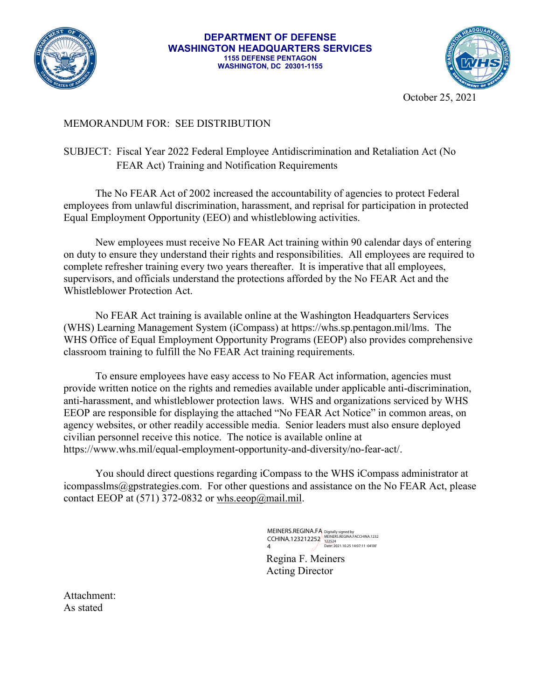

## **DEPARTMENT OF DEFENSE WASHINGTON HEADQUARTERS SERVICES 1155 DEFENSE PENTAGON WASHINGTON, DC 20301-1155**



October 25, 2021

## MEMORANDUM FOR: SEE DISTRIBUTION

## SUBJECT: Fiscal Year 2022 Federal Employee Antidiscrimination and Retaliation Act (No FEAR Act) Training and Notification Requirements

The No FEAR Act of 2002 increased the accountability of agencies to protect Federal employees from unlawful discrimination, harassment, and reprisal for participation in protected Equal Employment Opportunity (EEO) and whistleblowing activities.

New employees must receive No FEAR Act training within 90 calendar days of entering on duty to ensure they understand their rights and responsibilities. All employees are required to complete refresher training every two years thereafter. It is imperative that all employees, supervisors, and officials understand the protections afforded by the No FEAR Act and the Whistleblower Protection Act.

No FEAR Act training is available online at the Washington Headquarters Services (WHS) Learning Management System (iCompass) at https://whs.sp.pentagon.mil/lms. The WHS Office of Equal Employment Opportunity Programs (EEOP) also provides comprehensive classroom training to fulfill the No FEAR Act training requirements.

To ensure employees have easy access to No FEAR Act information, agencies must provide written notice on the rights and remedies available under applicable anti-discrimination, anti-harassment, and whistleblower protection laws. WHS and organizations serviced by WHS EEOP are responsible for displaying the attached "No FEAR Act Notice" in common areas, on agency websites, or other readily accessible media. Senior leaders must also ensure deployed civilian personnel receive this notice. The notice is available online at https://www.whs.mil/equal-employment-opportunity-and-diversity/no-fear-act/.

You should direct questions regarding iCompass to the WHS iCompass administrator at icompasslms@gpstrategies.com. For other questions and assistance on the No FEAR Act, please contact EEOP at  $(571)$  372-0832 or whs.eeop@mail.mil.

> MEINERS.REGINA.FA CCHINA.123212252 4 Digitally signed by MEINERS.REGINA.FACCHINA.1232 122524 Date: 2021.10.25 14:07:11 -04'00'

Regina F. Meiners Acting Director

Attachment: As stated